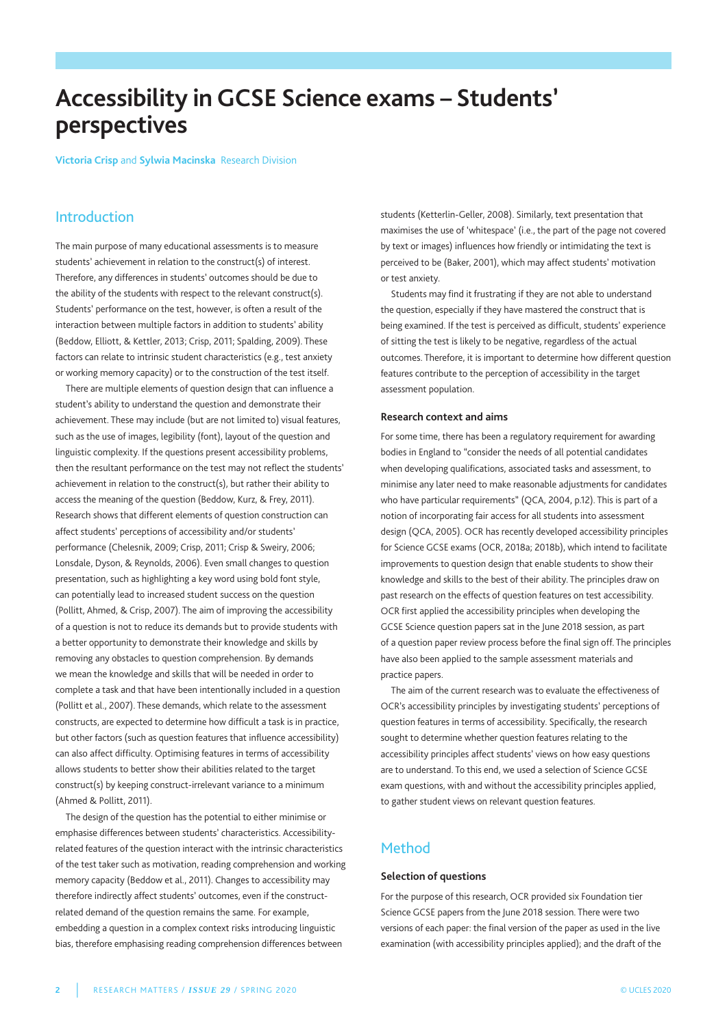# **Accessibility in GCSE Science exams – Students' perspectives**

**Victoria Crisp** and **Sylwia Macinska** Research Division

# Introduction

the main purpose of many educational assessments is to measure students' achievement in relation to the construct(s) of interest. therefore, any differences in students' outcomes should be due to the ability of the students with respect to the relevant construct(s). Students' performance on the test, however, is often a result of the interaction between multiple factors in addition to students' ability (Beddow, Elliott, & Kettler, 2013; Crisp, 2011; Spalding, 2009). These factors can relate to intrinsic student characteristics (e.g., test anxiety or working memory capacity) or to the construction of the test itself.

there are multiple elements of question design that can influence a student's ability to understand the question and demonstrate their achievement. These may include (but are not limited to) visual features, such as the use of images, legibility (font), layout of the question and linguistic complexity. If the questions present accessibility problems, then the resultant performance on the test may not reflect the students' achievement in relation to the construct(s), but rather their ability to access the meaning of the question (Beddow, Kurz, & Frey, 2011). Research shows that different elements of question construction can affect students' perceptions of accessibility and/or students' performance (Chelesnik, 2009; Crisp, 2011; Crisp & Sweiry, 2006; Lonsdale, Dyson, & Reynolds, 2006). Even small changes to question presentation, such as highlighting a key word using bold font style, can potentially lead to increased student success on the question (Pollitt, Ahmed, & Crisp, 2007). the aim of improving the accessibility of a question is not to reduce its demands but to provide students with a better opportunity to demonstrate their knowledge and skills by removing any obstacles to question comprehension. By demands we mean the knowledge and skills that will be needed in order to complete a task and that have been intentionally included in a question (Pollitt et al., 2007). These demands, which relate to the assessment constructs, are expected to determine how difficult a task is in practice, but other factors (such as question features that influence accessibility) can also affect difficulty. Optimising features in terms of accessibility allows students to better show their abilities related to the target construct(s) by keeping construct-irrelevant variance to a minimum (Ahmed & Pollitt, 2011).

The design of the question has the potential to either minimise or emphasise differences between students' characteristics. Accessibilityrelated features of the question interact with the intrinsic characteristics of the test taker such as motivation, reading comprehension and working memory capacity (Beddow et al., 2011). Changes to accessibility may therefore indirectly affect students' outcomes, even if the constructrelated demand of the question remains the same. For example, embedding a question in a complex context risks introducing linguistic bias, therefore emphasising reading comprehension differences between

students (Ketterlin-Geller, 2008). Similarly, text presentation that maximises the use of 'whitespace' (i.e., the part of the page not covered by text or images) influences how friendly or intimidating the text is perceived to be (Baker, 2001), which may affect students' motivation or test anxiety.

Students may find it frustrating if they are not able to understand the question, especially if they have mastered the construct that is being examined. If the test is perceived as difficult, students' experience of sitting the test is likely to be negative, regardless of the actual outcomes. Therefore, it is important to determine how different question features contribute to the perception of accessibility in the target assessment population.

## **Research context and aims**

For some time, there has been a regulatory requirement for awarding bodies in England to "consider the needs of all potential candidates when developing qualifications, associated tasks and assessment, to minimise any later need to make reasonable adjustments for candidates who have particular requirements" (QCA, 2004, p.12). This is part of a notion of incorporating fair access for all students into assessment design (QCA, 2005). OCR has recently developed accessibility principles for Science GCSE exams (OCR, 2018a; 2018b), which intend to facilitate improvements to question design that enable students to show their knowledge and skills to the best of their ability. The principles draw on past research on the effects of question features on test accessibility. OCR first applied the accessibility principles when developing the GCSE Science question papers sat in the June 2018 session, as part of a question paper review process before the final sign off. The principles have also been applied to the sample assessment materials and practice papers.

The aim of the current research was to evaluate the effectiveness of OCR's accessibility principles by investigating students' perceptions of question features in terms of accessibility. Specifically, the research sought to determine whether question features relating to the accessibility principles affect students' views on how easy questions are to understand. To this end, we used a selection of Science GCSE exam questions, with and without the accessibility principles applied, to gather student views on relevant question features.

# Method

# **Selection of questions**

For the purpose of this research, OCR provided six Foundation tier Science GCSE papers from the June 2018 session. There were two versions of each paper: the final version of the paper as used in the live examination (with accessibility principles applied); and the draft of the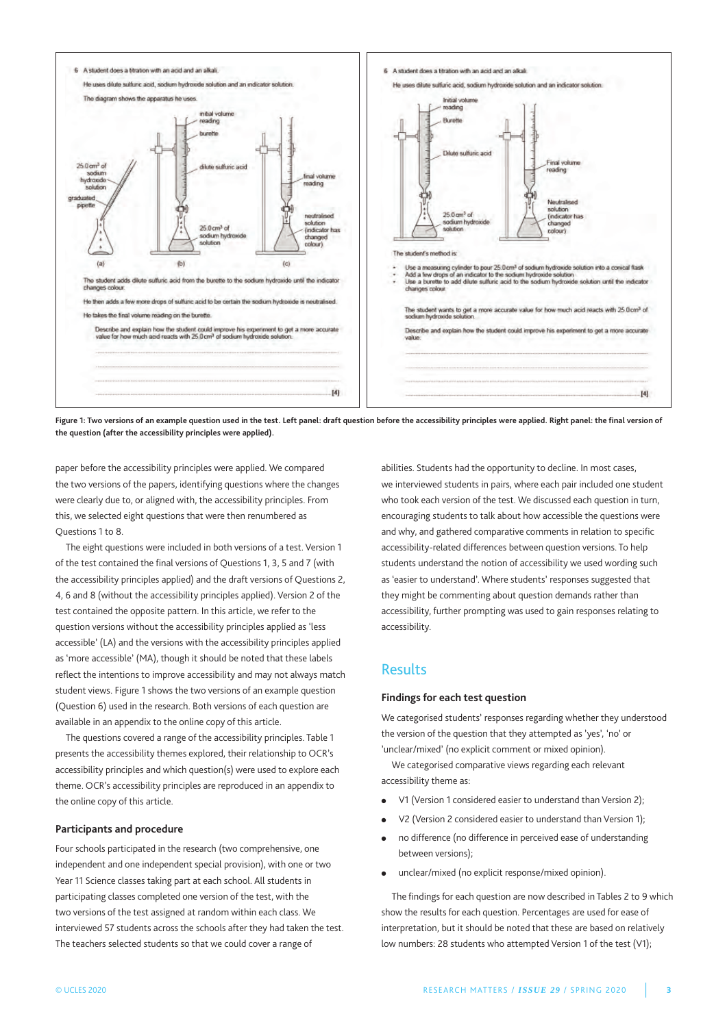

**Figure 1: Two versions of an example question used in the test. Left panel: draft question before the accessibility principles were applied. Right panel: the final version of the question (after the accessibility principles were applied).**

paper before the accessibility principles were applied. We compared the two versions of the papers, identifying questions where the changes were clearly due to, or aligned with, the accessibility principles. From this, we selected eight questions that were then renumbered as Questions 1 to 8.

the eight questions were included in both versions of a test. Version 1 of the test contained the final versions of Questions 1, 3, 5 and 7 (with the accessibility principles applied) and the draft versions of Questions 2, 4, 6 and 8 (without the accessibility principles applied). Version 2 of the test contained the opposite pattern. In this article, we refer to the question versions without the accessibility principles applied as 'less accessible' (LA) and the versions with the accessibility principles applied as 'more accessible' (mA), though it should be noted that these labels reflect the intentions to improve accessibility and may not always match student views. Figure 1 shows the two versions of an example question (Question 6) used in the research. Both versions of each question are available in an appendix to the online copy of this article.

The questions covered a range of the accessibility principles. Table 1 presents the accessibility themes explored, their relationship to OCR's accessibility principles and which question(s) were used to explore each theme. OCR's accessibility principles are reproduced in an appendix to the online copy of this article.

## **Participants and procedure**

Four schools participated in the research (two comprehensive, one independent and one independent special provision), with one or two Year 11 Science classes taking part at each school. All students in participating classes completed one version of the test, with the two versions of the test assigned at random within each class. We interviewed 57 students across the schools after they had taken the test. The teachers selected students so that we could cover a range of

abilities. Students had the opportunity to decline. In most cases, we interviewed students in pairs, where each pair included one student who took each version of the test. We discussed each question in turn, encouraging students to talk about how accessible the questions were and why, and gathered comparative comments in relation to specific accessibility-related differences between question versions. To help students understand the notion of accessibility we used wording such as 'easier to understand'. Where students' responses suggested that they might be commenting about question demands rather than accessibility, further prompting was used to gain responses relating to accessibility.

# Results

## **Findings for each test question**

We categorised students' responses regarding whether they understood the version of the question that they attempted as 'yes', 'no' or 'unclear/mixed' (no explicit comment or mixed opinion).

We categorised comparative views regarding each relevant accessibility theme as:

- V1 (Version 1 considered easier to understand than Version 2);
- V2 (Version 2 considered easier to understand than Version 1);
- no difference (no difference in perceived ease of understanding between versions);
- unclear/mixed (no explicit response/mixed opinion).

The findings for each question are now described in Tables 2 to 9 which show the results for each question. Percentages are used for ease of interpretation, but it should be noted that these are based on relatively low numbers: 28 students who attempted Version 1 of the test (V1);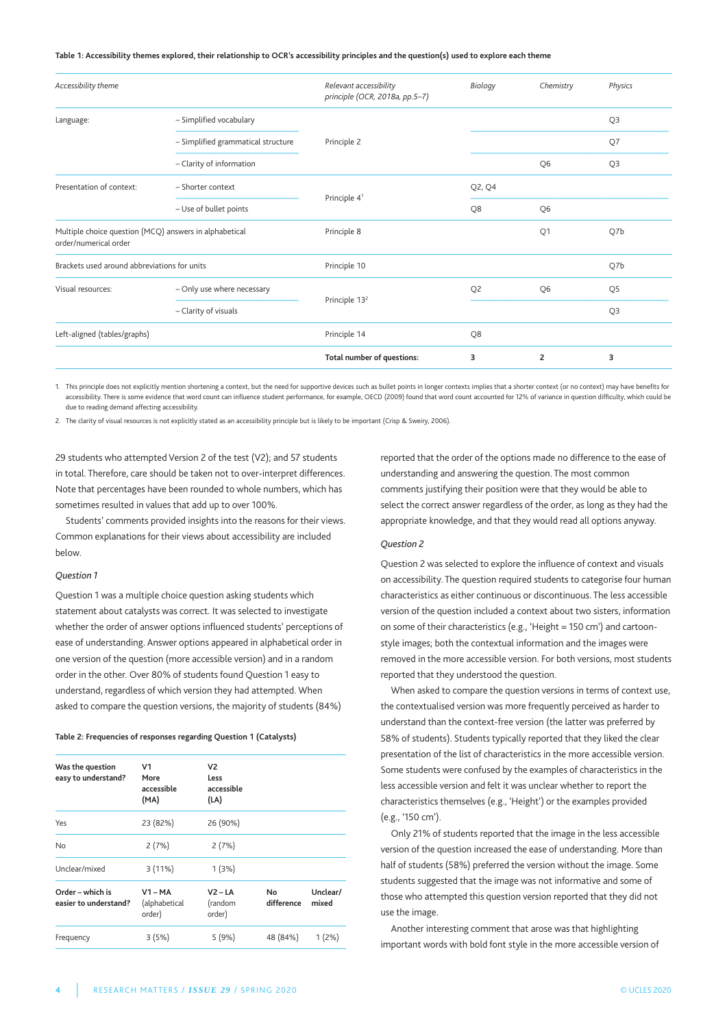#### **Table 1: Accessibility themes explored, their relationship to OCR's accessibility principles and the question(s) used to explore each theme**

| Accessibility theme                                                             |                                    | Relevant accessibility<br>principle (OCR, 2018a, pp.5-7) | Biology        | Chemistry      | Physics        |
|---------------------------------------------------------------------------------|------------------------------------|----------------------------------------------------------|----------------|----------------|----------------|
| Language:                                                                       | - Simplified vocabulary            |                                                          |                |                | Q <sub>3</sub> |
|                                                                                 | - Simplified grammatical structure | Principle 2                                              |                |                | Q7             |
|                                                                                 | - Clarity of information           |                                                          |                | Q <sub>6</sub> | Q <sub>3</sub> |
| Presentation of context:                                                        | - Shorter context                  |                                                          | Q2, Q4         |                |                |
|                                                                                 | - Use of bullet points             | Principle 4 <sup>1</sup>                                 | Q8             | Q <sub>6</sub> |                |
| Multiple choice question (MCQ) answers in alphabetical<br>order/numerical order |                                    | Principle 8                                              |                | Q1             | Q7b            |
| Brackets used around abbreviations for units                                    |                                    | Principle 10                                             |                |                | Q7b            |
| Visual resources:                                                               | - Only use where necessary         |                                                          | Q <sub>2</sub> | Q <sub>6</sub> | Q <sub>5</sub> |
|                                                                                 | - Clarity of visuals               | Principle 13 <sup>2</sup>                                |                |                | Q <sub>3</sub> |
| Left-aligned (tables/graphs)                                                    |                                    | Principle 14                                             | Q8             |                |                |
|                                                                                 |                                    | Total number of questions:                               | 3              | $\overline{2}$ | 3              |

1. this principle does not explicitly mention shortening a context, but the need for supportive devices such as bullet points in longer contexts implies that a shorter context (or no context) may have benefits for accessibility. There is some evidence that word count can influence student performance, for example, OECD (2009) found that word count accounted for 12% of variance in question difficulty, which could be due to reading demand affecting accessibility.

2. the clarity of visual resources is not explicitly stated as an accessibility principle but is likely to be important (Crisp & Sweiry, 2006).

29 students who attempted Version 2 of the test (V2); and 57 students in total. Therefore, care should be taken not to over-interpret differences. Note that percentages have been rounded to whole numbers, which has sometimes resulted in values that add up to over 100%.

Students' comments provided insights into the reasons for their views. Common explanations for their views about accessibility are included below.

## *Question 1*

Question 1 was a multiple choice question asking students which statement about catalysts was correct. It was selected to investigate whether the order of answer options influenced students' perceptions of ease of understanding. Answer options appeared in alphabetical order in one version of the question (more accessible version) and in a random order in the other. Over 80% of students found Question 1 easy to understand, regardless of which version they had attempted. When asked to compare the question versions, the majority of students (84%)

#### **Table 2: Frequencies of responses regarding Question 1 (Catalysts)**

| Was the question<br>easy to understand?   | V <sub>1</sub><br>More<br>accessible<br>(MA) | V <sub>2</sub><br>Less<br>accessible<br>(LA) |                  |                   |
|-------------------------------------------|----------------------------------------------|----------------------------------------------|------------------|-------------------|
| Yes                                       | 23 (82%)                                     | 26 (90%)                                     |                  |                   |
| No                                        | 2(7%)                                        | 2(7%)                                        |                  |                   |
| Unclear/mixed                             | 3(11%)                                       | 1(3%)                                        |                  |                   |
| Order - which is<br>easier to understand? | $V1 - MA$<br>(alphabetical<br>order)         | $V2 - LA$<br>(random<br>order)               | No<br>difference | Unclear/<br>mixed |
| Frequency                                 | 3(5%)                                        | 5(9%)                                        | 48 (84%)         | 1(2%)             |

reported that the order of the options made no difference to the ease of understanding and answering the question. The most common comments justifying their position were that they would be able to select the correct answer regardless of the order, as long as they had the appropriate knowledge, and that they would read all options anyway.

#### *Question 2*

Question 2 was selected to explore the influence of context and visuals on accessibility. The question required students to categorise four human characteristics as either continuous or discontinuous. The less accessible version of the question included a context about two sisters, information on some of their characteristics (e.g., 'Height = 150 cm') and cartoonstyle images; both the contextual information and the images were removed in the more accessible version. For both versions, most students reported that they understood the question.

When asked to compare the question versions in terms of context use, the contextualised version was more frequently perceived as harder to understand than the context-free version (the latter was preferred by 58% of students). Students typically reported that they liked the clear presentation of the list of characteristics in the more accessible version. Some students were confused by the examples of characteristics in the less accessible version and felt it was unclear whether to report the characteristics themselves (e.g., 'Height') or the examples provided (e.g., '150 cm').

Only 21% of students reported that the image in the less accessible version of the question increased the ease of understanding. more than half of students (58%) preferred the version without the image. Some students suggested that the image was not informative and some of those who attempted this question version reported that they did not use the image.

Another interesting comment that arose was that highlighting important words with bold font style in the more accessible version of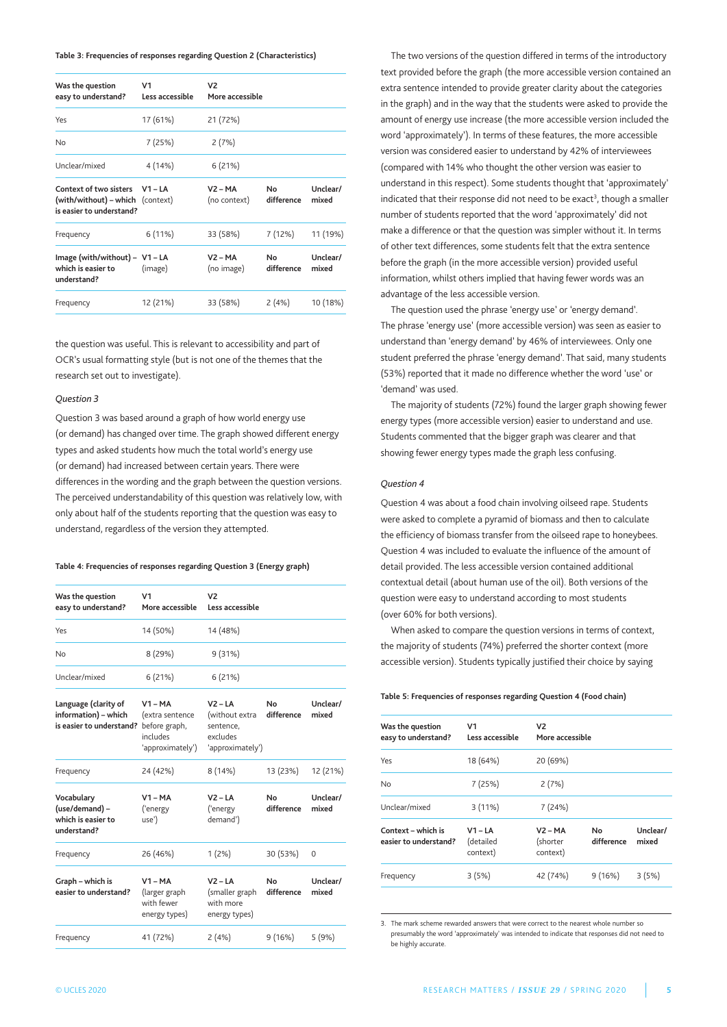**Table 3: Frequencies of responses regarding Question 2 (Characteristics)**

| Was the question<br>easy to understand?                                                       | V <sub>1</sub><br>Less accessible | V <sub>2</sub><br>More accessible |                   |                   |
|-----------------------------------------------------------------------------------------------|-----------------------------------|-----------------------------------|-------------------|-------------------|
| Yes                                                                                           | 17 (61%)                          | 21 (72%)                          |                   |                   |
| No                                                                                            | 7 (25%)                           | 2(7%)                             |                   |                   |
| Unclear/mixed                                                                                 | 4 (14%)                           | 6(21%)                            |                   |                   |
| <b>Context of two sisters</b><br>(with/without) – which (context)<br>is easier to understand? | $V1 - LA$                         | $V2 - MA$<br>(no context)         | No.<br>difference | Unclear/<br>mixed |
| Frequency                                                                                     | 6(11%)                            | 33 (58%)                          | 7 (12%)           | 11 (19%)          |
| Image (with/without) - V1 - LA<br>which is easier to<br>understand?                           | (image)                           | $V2 - MA$<br>(no image)           | No.<br>difference | Unclear/<br>mixed |
| Frequency                                                                                     | 12 (21%)                          | 33 (58%)                          | 2(4%)             | 10 (18%)          |

the question was useful. This is relevant to accessibility and part of OCR's usual formatting style (but is not one of the themes that the research set out to investigate).

#### *Question 3*

Question 3 was based around a graph of how world energy use (or demand) has changed over time. The graph showed different energy types and asked students how much the total world's energy use (or demand) had increased between certain years. There were differences in the wording and the graph between the question versions. the perceived understandability of this question was relatively low, with only about half of the students reporting that the question was easy to understand, regardless of the version they attempted.

#### **Table 4: Frequencies of responses regarding Question 3 (Energy graph)**

| Was the question<br>easy to understand?                                  | V <sub>1</sub><br>More accessible                                             | V2<br>Less accessible                                                    |                              |                   |
|--------------------------------------------------------------------------|-------------------------------------------------------------------------------|--------------------------------------------------------------------------|------------------------------|-------------------|
| Yes                                                                      | 14 (50%)                                                                      | 14 (48%)                                                                 |                              |                   |
| No                                                                       | 8 (29%)                                                                       | 9(31%)                                                                   |                              |                   |
| Unclear/mixed                                                            | 6(21%)                                                                        | 6(21%)                                                                   |                              |                   |
| Language (clarity of<br>information) - which<br>is easier to understand? | $V1 - MA$<br>(extra sentence<br>before graph,<br>includes<br>'approximately') | $V2 - LA$<br>(without extra<br>sentence,<br>excludes<br>'approximately') | N <sub>0</sub><br>difference | Unclear/<br>mixed |
| Frequency                                                                | 24 (42%)                                                                      | 8(14%)                                                                   | 13 (23%)                     | 12 (21%)          |
| Vocabulary<br>(use/demand) -<br>which is easier to<br>understand?        | $V1 - MA$<br>('energy<br>use')                                                | $V2 - LA$<br>('energy<br>demand')                                        | No<br>difference             | Unclear/<br>mixed |
| Frequency                                                                | 26 (46%)                                                                      | $1(2\%)$                                                                 | 30 (53%)                     | 0                 |
| Graph - which is<br>easier to understand?                                | $V1 - MA$<br>(larger graph<br>with fewer<br>energy types)                     | $V2 - IA$<br>(smaller graph<br>with more<br>energy types)                | No<br>difference             | Unclear/<br>mixed |
| Frequency                                                                | 41 (72%)                                                                      | 2(4%)                                                                    | 9(16%)                       | 5(9%)             |

The two versions of the question differed in terms of the introductory text provided before the graph (the more accessible version contained an extra sentence intended to provide greater clarity about the categories in the graph) and in the way that the students were asked to provide the amount of energy use increase (the more accessible version included the word 'approximately'). In terms of these features, the more accessible version was considered easier to understand by 42% of interviewees (compared with 14% who thought the other version was easier to understand in this respect). Some students thought that 'approximately' indicated that their response did not need to be exact<sup>3</sup>, though a smaller number of students reported that the word 'approximately' did not make a difference or that the question was simpler without it. In terms of other text differences, some students felt that the extra sentence before the graph (in the more accessible version) provided useful information, whilst others implied that having fewer words was an advantage of the less accessible version.

The question used the phrase 'energy use' or 'energy demand'. the phrase 'energy use' (more accessible version) was seen as easier to understand than 'energy demand' by 46% of interviewees. Only one student preferred the phrase 'energy demand'. That said, many students (53%) reported that it made no difference whether the word 'use' or 'demand' was used.

the majority of students (72%) found the larger graph showing fewer energy types (more accessible version) easier to understand and use. Students commented that the bigger graph was clearer and that showing fewer energy types made the graph less confusing.

#### *Question 4*

Question 4 was about a food chain involving oilseed rape. Students were asked to complete a pyramid of biomass and then to calculate the efficiency of biomass transfer from the oilseed rape to honeybees. Question 4 was included to evaluate the influence of the amount of detail provided. The less accessible version contained additional contextual detail (about human use of the oil). Both versions of the question were easy to understand according to most students (over 60% for both versions).

When asked to compare the question versions in terms of context, the majority of students (74%) preferred the shorter context (more accessible version). Students typically justified their choice by saying

#### **Table 5: Frequencies of responses regarding Question 4 (Food chain)**

| Was the question<br>easy to understand?     | V1<br>Less accessible              | V <sub>2</sub><br>More accessible |                  |                   |
|---------------------------------------------|------------------------------------|-----------------------------------|------------------|-------------------|
| Yes                                         | 18 (64%)                           | 20 (69%)                          |                  |                   |
| No                                          | 7(25%)                             | 2(7%)                             |                  |                   |
| Unclear/mixed                               | 3(11%)                             | 7(24%)                            |                  |                   |
| Context – which is<br>easier to understand? | $V1 - IA$<br>(detailed<br>context) | $V2 - MA$<br>(shorter<br>context) | No<br>difference | Unclear/<br>mixed |
| Frequency                                   | 3(5%)                              | 42 (74%)                          | 9(16%)           | 3(5%)             |
|                                             |                                    |                                   |                  |                   |

3. the mark scheme rewarded answers that were correct to the nearest whole number so presumably the word 'approximately' was intended to indicate that responses did not need to be highly accurate.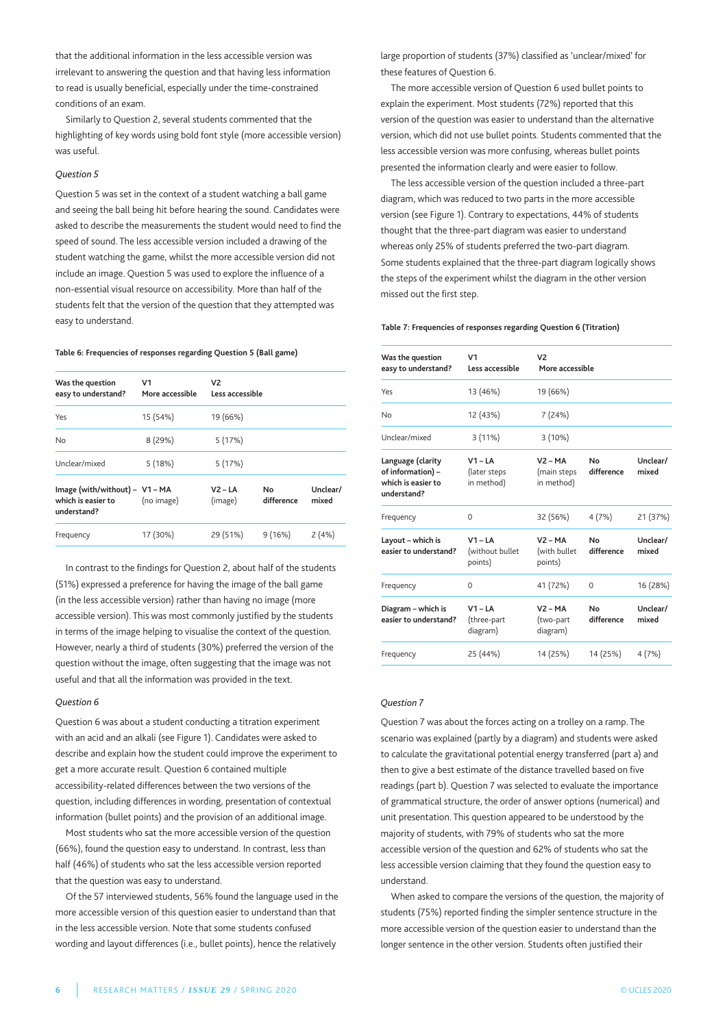that the additional information in the less accessible version was irrelevant to answering the question and that having less information to read is usually beneficial, especially under the time-constrained conditions of an exam.

Similarly to Question 2, several students commented that the highlighting of key words using bold font style (more accessible version) was useful.

## *Question 5*

Question 5 was set in the context of a student watching a ball game and seeing the ball being hit before hearing the sound. Candidates were asked to describe the measurements the student would need to find the speed of sound. The less accessible version included a drawing of the student watching the game, whilst the more accessible version did not include an image. Question 5 was used to explore the influence of a non-essential visual resource on accessibility. more than half of the students felt that the version of the question that they attempted was easy to understand.

#### **Table 6: Frequencies of responses regarding Question 5 (Ball game)**

| Was the question<br>easy to understand?                             | V1<br>More accessible | V <sub>2</sub><br>Less accessible |                   |                   |
|---------------------------------------------------------------------|-----------------------|-----------------------------------|-------------------|-------------------|
| Yes                                                                 | 15 (54%)              | 19 (66%)                          |                   |                   |
| No                                                                  | 8(29%)                | 5(17%)                            |                   |                   |
| Unclear/mixed                                                       | 5(18%)                | 5(17%)                            |                   |                   |
| Image (with/without) - V1 - MA<br>which is easier to<br>understand? | (no image)            | $V2 - LA$<br>(image)              | No.<br>difference | Unclear/<br>mixed |
| Frequency                                                           | 17 (30%)              | 29 (51%)                          | 9(16%)            | 2(4%)             |
|                                                                     |                       |                                   |                   |                   |

In contrast to the findings for Question 2, about half of the students (51%) expressed a preference for having the image of the ball game (in the less accessible version) rather than having no image (more accessible version). This was most commonly justified by the students in terms of the image helping to visualise the context of the question. However, nearly a third of students (30%) preferred the version of the question without the image, often suggesting that the image was not useful and that all the information was provided in the text.

#### *Question 6*

Question 6 was about a student conducting a titration experiment with an acid and an alkali (see Figure 1). Candidates were asked to describe and explain how the student could improve the experiment to get a more accurate result. Question 6 contained multiple accessibility-related differences between the two versions of the question, including differences in wording, presentation of contextual information (bullet points) and the provision of an additional image.

most students who sat the more accessible version of the question (66%), found the question easy to understand. In contrast, less than half (46%) of students who sat the less accessible version reported that the question was easy to understand.

Of the 57 interviewed students, 56% found the language used in the more accessible version of this question easier to understand than that in the less accessible version. Note that some students confused wording and layout differences (i.e., bullet points), hence the relatively

large proportion of students (37%) classified as 'unclear/mixed' for these features of Question 6.

The more accessible version of Question 6 used bullet points to explain the experiment. most students (72%) reported that this version of the question was easier to understand than the alternative version, which did not use bullet points. Students commented that the less accessible version was more confusing, whereas bullet points presented the information clearly and were easier to follow.

the less accessible version of the question included a three-part diagram, which was reduced to two parts in the more accessible version (see Figure 1). Contrary to expectations, 44% of students thought that the three-part diagram was easier to understand whereas only 25% of students preferred the two-part diagram. Some students explained that the three-part diagram logically shows the steps of the experiment whilst the diagram in the other version missed out the first step.

#### **Table 7: Frequencies of responses regarding Question 6 (Titration)**

| Was the question<br>easy to understand?                                     | V <sub>1</sub><br>Less accessible       | V <sub>2</sub><br>More accessible      |                         |                   |
|-----------------------------------------------------------------------------|-----------------------------------------|----------------------------------------|-------------------------|-------------------|
| Yes                                                                         | 13 (46%)                                | 19 (66%)                               |                         |                   |
| No                                                                          | 12 (43%)                                | 7 (24%)                                |                         |                   |
| Unclear/mixed                                                               | 3(11%)                                  | 3(10%)                                 |                         |                   |
| Language (clarity<br>of information) -<br>which is easier to<br>understand? | $V1 - LA$<br>(later steps<br>in method) | $V2 - MA$<br>(main steps<br>in method) | No<br>difference        | Unclear/<br>mixed |
| Frequency                                                                   | $\Omega$                                | 32 (56%)                               | 4(7%)                   | 21 (37%)          |
| Layout - which is<br>easier to understand?                                  | $V1 - LA$<br>(without bullet<br>points) | $V2 - MA$<br>(with bullet<br>points)   | <b>No</b><br>difference | Unclear/<br>mixed |
| Frequency                                                                   | $\Omega$                                | 41 (72%)                               | 0                       | 16 (28%)          |
| Diagram - which is<br>easier to understand?                                 | $V1 - LA$<br>(three-part<br>diagram)    | $V2 - MA$<br>(two-part<br>diagram)     | <b>No</b><br>difference | Unclear/<br>mixed |
| Frequency                                                                   | 25 (44%)                                | 14 (25%)                               | 14 (25%)                | 4(7%)             |

#### *Question 7*

Question 7 was about the forces acting on a trolley on a ramp. The scenario was explained (partly by a diagram) and students were asked to calculate the gravitational potential energy transferred (part a) and then to give a best estimate of the distance travelled based on five readings (part b). Question 7 was selected to evaluate the importance of grammatical structure, the order of answer options (numerical) and unit presentation. This question appeared to be understood by the majority of students, with 79% of students who sat the more accessible version of the question and 62% of students who sat the less accessible version claiming that they found the question easy to understand.

When asked to compare the versions of the question, the majority of students (75%) reported finding the simpler sentence structure in the more accessible version of the question easier to understand than the longer sentence in the other version. Students often justified their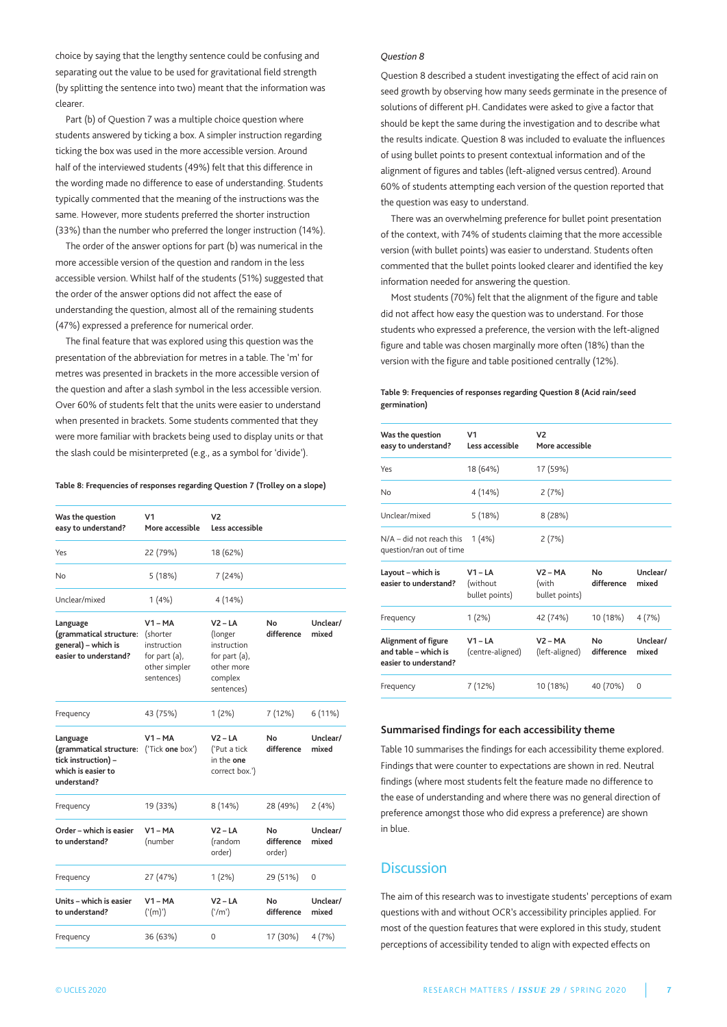choice by saying that the lengthy sentence could be confusing and separating out the value to be used for gravitational field strength (by splitting the sentence into two) meant that the information was clearer.

Part (b) of Question 7 was a multiple choice question where students answered by ticking a box. A simpler instruction regarding ticking the box was used in the more accessible version. Around half of the interviewed students (49%) felt that this difference in the wording made no difference to ease of understanding. Students typically commented that the meaning of the instructions was the same. However, more students preferred the shorter instruction (33%) than the number who preferred the longer instruction (14%).

The order of the answer options for part (b) was numerical in the more accessible version of the question and random in the less accessible version. Whilst half of the students (51%) suggested that the order of the answer options did not affect the ease of understanding the question, almost all of the remaining students (47%) expressed a preference for numerical order.

The final feature that was explored using this question was the presentation of the abbreviation for metres in a table. The 'm' for metres was presented in brackets in the more accessible version of the question and after a slash symbol in the less accessible version. Over 60% of students felt that the units were easier to understand when presented in brackets. Some students commented that they were more familiar with brackets being used to display units or that the slash could be misinterpreted (e.g., as a symbol for 'divide').

#### **Table 8: Frequencies of responses regarding Question 7 (Trolley on a slope)**

| Was the question<br>easy to understand?                                                                          | V <sub>1</sub><br>More accessible                                                       | V <sub>2</sub><br>Less accessible                                                           |                            |                   |
|------------------------------------------------------------------------------------------------------------------|-----------------------------------------------------------------------------------------|---------------------------------------------------------------------------------------------|----------------------------|-------------------|
| Yes                                                                                                              | 22 (79%)                                                                                | 18 (62%)                                                                                    |                            |                   |
| No                                                                                                               | 5(18%)                                                                                  | 7 (24%)                                                                                     |                            |                   |
| Unclear/mixed                                                                                                    | 1(4%)                                                                                   | 4 (14%)                                                                                     |                            |                   |
| Language<br>(grammatical structure:<br>general) - which is<br>easier to understand?                              | $V1 - MA$<br>(shorter<br>instruction<br>for part $(a)$ ,<br>other simpler<br>sentences) | $V2 - LA$<br>(longer<br>instruction<br>for part (a),<br>other more<br>complex<br>sentences) | No<br>difference           | Unclear/<br>mixed |
| Frequency                                                                                                        | 43 (75%)                                                                                | $1(2\%)$                                                                                    | 7 (12%)                    | 6(11%)            |
| Language<br>(grammatical structure: ('Tick one box')<br>tick instruction) -<br>which is easier to<br>understand? | $V1 - MA$                                                                               | V2 – LA<br>('Put a tick<br>in the one<br>correct box.')                                     | No<br>difference           | Unclear/<br>mixed |
| Frequency                                                                                                        | 19 (33%)                                                                                | 8 (14%)                                                                                     | 28 (49%)                   | 2(4%)             |
| Order - which is easier<br>to understand?                                                                        | $V1 - MA$<br>(number                                                                    | $V2 - LA$<br>(random<br>order)                                                              | No<br>difference<br>order) | Unclear/<br>mixed |
| Frequency                                                                                                        | 27 (47%)                                                                                | $1(2\%)$                                                                                    | 29 (51%)                   | 0                 |
| Units - which is easier<br>to understand?                                                                        | $V1 - MA$<br>('(m)')                                                                    | $V2 - LA$<br>('/m')                                                                         | No<br>difference           | Unclear/<br>mixed |
| Frequency                                                                                                        | 36 (63%)                                                                                | $\mathbf 0$                                                                                 | 17 (30%)                   | 4(7%)             |

#### *Question 8*

Question 8 described a student investigating the effect of acid rain on seed growth by observing how many seeds germinate in the presence of solutions of different pH. Candidates were asked to give a factor that should be kept the same during the investigation and to describe what the results indicate. Question 8 was included to evaluate the influences of using bullet points to present contextual information and of the alignment of figures and tables (left-aligned versus centred). Around 60% of students attempting each version of the question reported that the question was easy to understand.

there was an overwhelming preference for bullet point presentation of the context, with 74% of students claiming that the more accessible version (with bullet points) was easier to understand. Students often commented that the bullet points looked clearer and identified the key information needed for answering the question.

most students (70%) felt that the alignment of the figure and table did not affect how easy the question was to understand. For those students who expressed a preference, the version with the left-aligned figure and table was chosen marginally more often (18%) than the version with the figure and table positioned centrally (12%).

## **Table 9: Frequencies of responses regarding Question 8 (Acid rain/seed germination)**

| Was the question<br>easy to understand?                              | V <sub>1</sub><br>Less accessible       | V <sub>2</sub><br>More accessible    |                   |                   |
|----------------------------------------------------------------------|-----------------------------------------|--------------------------------------|-------------------|-------------------|
| Yes                                                                  | 18 (64%)                                | 17 (59%)                             |                   |                   |
| 4 (14%)<br>No                                                        |                                         | 2(7%)                                |                   |                   |
| Unclear/mixed                                                        | 5 (18%)                                 | 8(28%)                               |                   |                   |
| $N/A$ – did not reach this 1 (4%)<br>question/ran out of time        |                                         | 2(7%)                                |                   |                   |
| Layout - which is<br>easier to understand?                           | $V1 - LA$<br>(without<br>bullet points) | $V2 - MA$<br>(with<br>bullet points) | No.<br>difference | Unclear/<br>mixed |
| Frequency                                                            | $1(2\%)$                                | 42 (74%)                             | 10 (18%)          | 4 (7%)            |
| Alignment of figure<br>and table - which is<br>easier to understand? | $V1 - LA$<br>(centre-aligned)           | $V2 - MA$<br>(left-aligned)          | No.<br>difference | Unclear/<br>mixed |
| Frequency                                                            | 7 (12%)                                 | 10 (18%)                             | 40 (70%)          | $\Omega$          |

## **Summarised findings for each accessibility theme**

table 10 summarises the findings for each accessibility theme explored. Findings that were counter to expectations are shown in red. Neutral findings (where most students felt the feature made no difference to the ease of understanding and where there was no general direction of preference amongst those who did express a preference) are shown in blue.

# **Discussion**

The aim of this research was to investigate students' perceptions of exam questions with and without OCR's accessibility principles applied. For most of the question features that were explored in this study, student perceptions of accessibility tended to align with expected effects on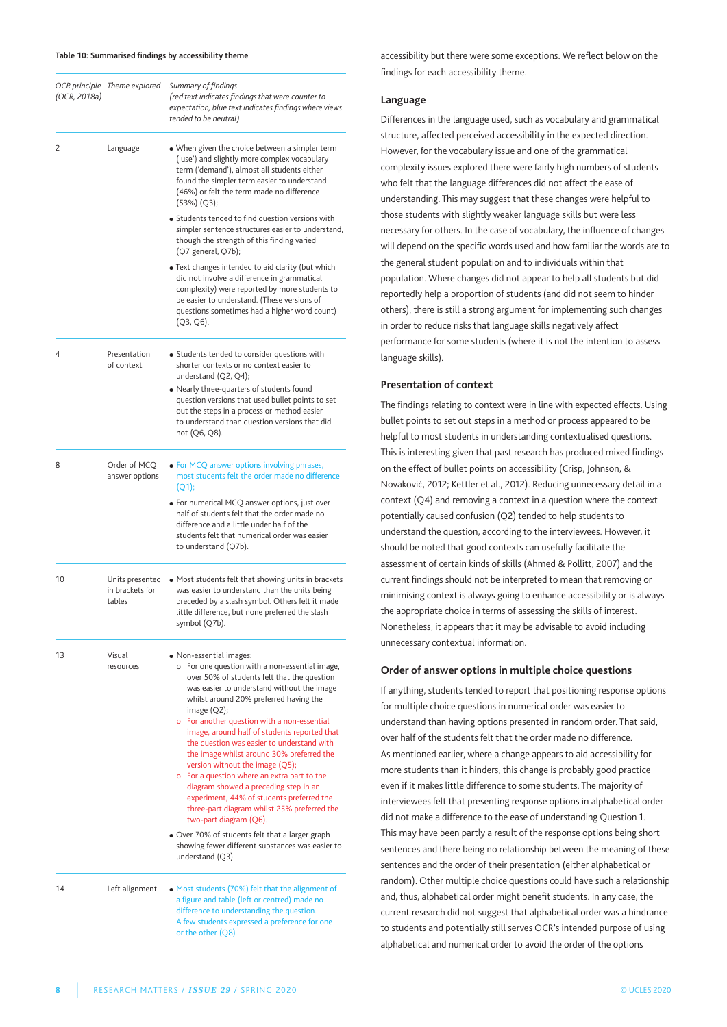#### **Table 10: Summarised findings by accessibility theme**

| (OCR, 2018a) | OCR principle Theme explored                 | Summary of findings<br>(red text indicates findings that were counter to<br>expectation, blue text indicates findings where views<br>tended to be neutral)                                                                                                                                                                                                                                                                                                                                                                                                                                                                                                                                                                       |
|--------------|----------------------------------------------|----------------------------------------------------------------------------------------------------------------------------------------------------------------------------------------------------------------------------------------------------------------------------------------------------------------------------------------------------------------------------------------------------------------------------------------------------------------------------------------------------------------------------------------------------------------------------------------------------------------------------------------------------------------------------------------------------------------------------------|
| 2            | Language                                     | . When given the choice between a simpler term<br>('use') and slightly more complex vocabulary<br>term ('demand'), almost all students either<br>found the simpler term easier to understand<br>(46%) or felt the term made no difference<br>(53%) (Q3);                                                                                                                                                                                                                                                                                                                                                                                                                                                                         |
|              |                                              | • Students tended to find question versions with<br>simpler sentence structures easier to understand,<br>though the strength of this finding varied<br>(Q7 general, Q7b);                                                                                                                                                                                                                                                                                                                                                                                                                                                                                                                                                        |
|              |                                              | • Text changes intended to aid clarity (but which<br>did not involve a difference in grammatical<br>complexity) were reported by more students to<br>be easier to understand. (These versions of<br>questions sometimes had a higher word count)<br>(Q3, Q6).                                                                                                                                                                                                                                                                                                                                                                                                                                                                    |
| 4            | Presentation<br>of context                   | • Students tended to consider questions with<br>shorter contexts or no context easier to<br>understand (Q2, Q4);<br>• Nearly three-quarters of students found<br>question versions that used bullet points to set<br>out the steps in a process or method easier<br>to understand than question versions that did<br>not (Q6, Q8).                                                                                                                                                                                                                                                                                                                                                                                               |
| 8            | Order of MCQ<br>answer options               | • For MCQ answer options involving phrases,<br>most students felt the order made no difference<br>(Q1);                                                                                                                                                                                                                                                                                                                                                                                                                                                                                                                                                                                                                          |
|              |                                              | • For numerical MCQ answer options, just over<br>half of students felt that the order made no<br>difference and a little under half of the<br>students felt that numerical order was easier<br>to understand (Q7b).                                                                                                                                                                                                                                                                                                                                                                                                                                                                                                              |
| 10           | Units presented<br>in brackets for<br>tables | • Most students felt that showing units in brackets<br>was easier to understand than the units being<br>preceded by a slash symbol. Others felt it made<br>little difference, but none preferred the slash<br>symbol (Q7b).                                                                                                                                                                                                                                                                                                                                                                                                                                                                                                      |
| 13           | Visual<br>resources                          | • Non-essential images:<br>o For one question with a non-essential image,<br>over 50% of students felt that the question<br>was easier to understand without the image<br>whilst around 20% preferred having the<br>image $(Q2)$ ;<br>o For another question with a non-essential<br>image, around half of students reported that<br>the question was easier to understand with<br>the image whilst around 30% preferred the<br>version without the image (Q5);<br>o For a question where an extra part to the<br>diagram showed a preceding step in an<br>experiment, 44% of students preferred the<br>three-part diagram whilst 25% preferred the<br>two-part diagram (Q6).<br>. Over 70% of students felt that a larger graph |
|              |                                              | showing fewer different substances was easier to<br>understand $(Q3)$ .                                                                                                                                                                                                                                                                                                                                                                                                                                                                                                                                                                                                                                                          |
| 14           | Left alignment                               | • Most students (70%) felt that the alignment of<br>a figure and table (left or centred) made no<br>difference to understanding the question.<br>A few students expressed a preference for one<br>or the other (Q8).                                                                                                                                                                                                                                                                                                                                                                                                                                                                                                             |

accessibility but there were some exceptions. We reflect below on the findings for each accessibility theme.

# **Language**

Differences in the language used, such as vocabulary and grammatical structure, affected perceived accessibility in the expected direction. However, for the vocabulary issue and one of the grammatical complexity issues explored there were fairly high numbers of students who felt that the language differences did not affect the ease of understanding. This may suggest that these changes were helpful to those students with slightly weaker language skills but were less necessary for others. In the case of vocabulary, the influence of changes will depend on the specific words used and how familiar the words are to the general student population and to individuals within that population. Where changes did not appear to help all students but did reportedly help a proportion of students (and did not seem to hinder others), there is still a strong argument for implementing such changes in order to reduce risks that language skills negatively affect performance for some students (where it is not the intention to assess language skills).

# **Presentation of context**

The findings relating to context were in line with expected effects. Using bullet points to set out steps in a method or process appeared to be helpful to most students in understanding contextualised questions. This is interesting given that past research has produced mixed findings on the effect of bullet points on accessibility (Crisp, Johnson, & Novaković, 2012; Kettler et al., 2012). Reducing unnecessary detail in a context (Q4) and removing a context in a question where the context potentially caused confusion (Q2) tended to help students to understand the question, according to the interviewees. However, it should be noted that good contexts can usefully facilitate the assessment of certain kinds of skills (Ahmed & Pollitt, 2007) and the current findings should not be interpreted to mean that removing or minimising context is always going to enhance accessibility or is always the appropriate choice in terms of assessing the skills of interest. Nonetheless, it appears that it may be advisable to avoid including unnecessary contextual information.

## **Order of answer options in multiple choice questions**

If anything, students tended to report that positioning response options for multiple choice questions in numerical order was easier to understand than having options presented in random order. That said, over half of the students felt that the order made no difference. As mentioned earlier, where a change appears to aid accessibility for more students than it hinders, this change is probably good practice even if it makes little difference to some students. The majority of interviewees felt that presenting response options in alphabetical order did not make a difference to the ease of understanding Question 1. this may have been partly a result of the response options being short sentences and there being no relationship between the meaning of these sentences and the order of their presentation (either alphabetical or random). Other multiple choice questions could have such a relationship and, thus, alphabetical order might benefit students. In any case, the current research did not suggest that alphabetical order was a hindrance to students and potentially still serves OCR's intended purpose of using alphabetical and numerical order to avoid the order of the options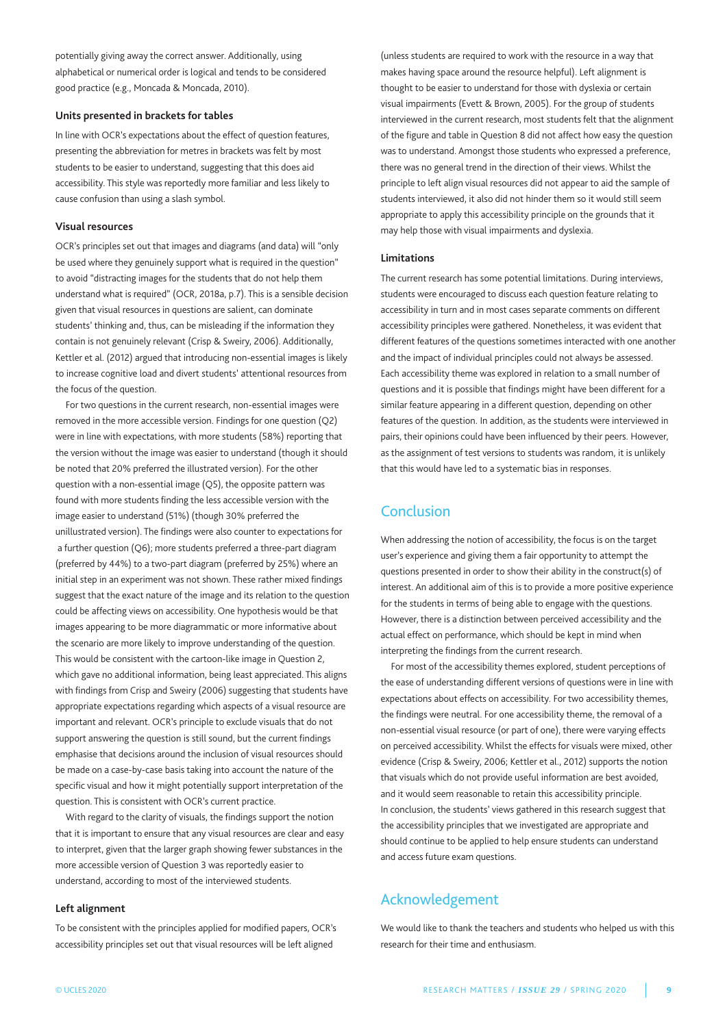potentially giving away the correct answer. Additionally, using alphabetical or numerical order is logical and tends to be considered good practice (e.g., moncada & moncada, 2010).

## **Units presented in brackets for tables**

In line with OCR's expectations about the effect of question features, presenting the abbreviation for metres in brackets was felt by most students to be easier to understand, suggesting that this does aid accessibility. This style was reportedly more familiar and less likely to cause confusion than using a slash symbol.

# **Visual resources**

OCR's principles set out that images and diagrams (and data) will "only be used where they genuinely support what is required in the question" to avoid "distracting images for the students that do not help them understand what is required" (OCR, 2018a, p.7). This is a sensible decision given that visual resources in questions are salient, can dominate students' thinking and, thus, can be misleading if the information they contain is not genuinely relevant (Crisp & Sweiry, 2006). Additionally, Kettler et al. (2012) argued that introducing non-essential images is likely to increase cognitive load and divert students' attentional resources from the focus of the question.

For two questions in the current research, non-essential images were removed in the more accessible version. Findings for one question (Q2) were in line with expectations, with more students (58%) reporting that the version without the image was easier to understand (though it should be noted that 20% preferred the illustrated version). For the other question with a non-essential image (Q5), the opposite pattern was found with more students finding the less accessible version with the image easier to understand (51%) (though 30% preferred the unillustrated version). The findings were also counter to expectations for a further question (Q6); more students preferred a three-part diagram (preferred by 44%) to a two-part diagram (preferred by 25%) where an initial step in an experiment was not shown. These rather mixed findings suggest that the exact nature of the image and its relation to the question could be affecting views on accessibility. One hypothesis would be that images appearing to be more diagrammatic or more informative about the scenario are more likely to improve understanding of the question. This would be consistent with the cartoon-like image in Question 2, which gave no additional information, being least appreciated. This aligns with findings from Crisp and Sweiry (2006) suggesting that students have appropriate expectations regarding which aspects of a visual resource are important and relevant. OCR's principle to exclude visuals that do not support answering the question is still sound, but the current findings emphasise that decisions around the inclusion of visual resources should be made on a case-by-case basis taking into account the nature of the specific visual and how it might potentially support interpretation of the question. This is consistent with OCR's current practice.

With regard to the clarity of visuals, the findings support the notion that it is important to ensure that any visual resources are clear and easy to interpret, given that the larger graph showing fewer substances in the more accessible version of Question 3 was reportedly easier to understand, according to most of the interviewed students.

## **Left alignment**

to be consistent with the principles applied for modified papers, OCR's accessibility principles set out that visual resources will be left aligned

(unless students are required to work with the resource in a way that makes having space around the resource helpful). Left alignment is thought to be easier to understand for those with dyslexia or certain visual impairments (Evett & Brown, 2005). For the group of students interviewed in the current research, most students felt that the alignment of the figure and table in Question 8 did not affect how easy the question was to understand. Amongst those students who expressed a preference, there was no general trend in the direction of their views. Whilst the principle to left align visual resources did not appear to aid the sample of students interviewed, it also did not hinder them so it would still seem appropriate to apply this accessibility principle on the grounds that it may help those with visual impairments and dyslexia.

# **Limitations**

The current research has some potential limitations. During interviews, students were encouraged to discuss each question feature relating to accessibility in turn and in most cases separate comments on different accessibility principles were gathered. Nonetheless, it was evident that different features of the questions sometimes interacted with one another and the impact of individual principles could not always be assessed. Each accessibility theme was explored in relation to a small number of questions and it is possible that findings might have been different for a similar feature appearing in a different question, depending on other features of the question. In addition, as the students were interviewed in pairs, their opinions could have been influenced by their peers. However, as the assignment of test versions to students was random, it is unlikely that this would have led to a systematic bias in responses.

# **Conclusion**

When addressing the notion of accessibility, the focus is on the target user's experience and giving them a fair opportunity to attempt the questions presented in order to show their ability in the construct(s) of interest. An additional aim of this is to provide a more positive experience for the students in terms of being able to engage with the questions. However, there is a distinction between perceived accessibility and the actual effect on performance, which should be kept in mind when interpreting the findings from the current research.

For most of the accessibility themes explored, student perceptions of the ease of understanding different versions of questions were in line with expectations about effects on accessibility. For two accessibility themes, the findings were neutral. For one accessibility theme, the removal of a non-essential visual resource (or part of one), there were varying effects on perceived accessibility. Whilst the effects for visuals were mixed, other evidence (Crisp & Sweiry, 2006; Kettler et al., 2012) supports the notion that visuals which do not provide useful information are best avoided, and it would seem reasonable to retain this accessibility principle. In conclusion, the students' views gathered in this research suggest that the accessibility principles that we investigated are appropriate and should continue to be applied to help ensure students can understand and access future exam questions.

# Acknowledgement

We would like to thank the teachers and students who helped us with this research for their time and enthusiasm.